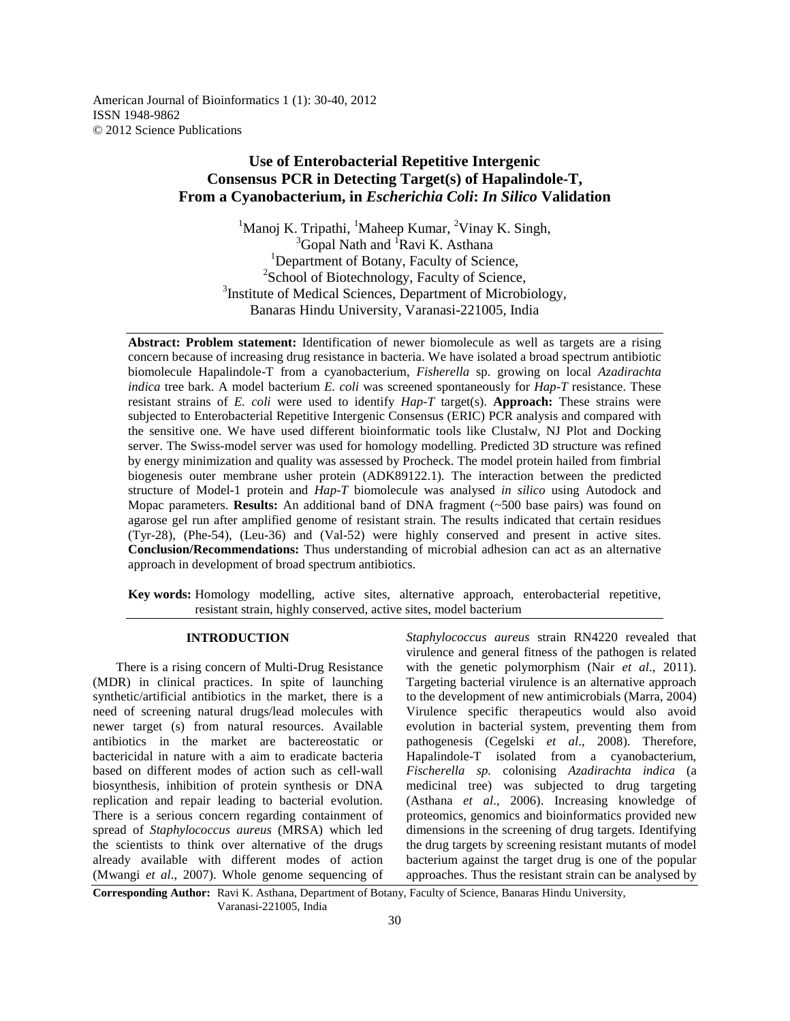American Journal of Bioinformatics 1 (1): 30-40, 2012 ISSN 1948-9862 © 2012 Science Publications

# **Use of Enterobacterial Repetitive Intergenic Consensus PCR in Detecting Target(s) of Hapalindole-T, From a Cyanobacterium, in** *Escherichia Coli***:** *In Silico* **Validation**

 $1$ Manoj K. Tripathi,  $1$ Maheep Kumar,  $2$ Vinay K. Singh,  $3$ Gopal Nath and  $1$ Ravi K. Asthana <sup>1</sup>Department of Botany, Faculty of Science, <sup>2</sup>School of Biotechnology, Faculty of Science, <sup>3</sup>Institute of Medical Sciences, Department of Microbiology, Banaras Hindu University, Varanasi-221005, India

**Abstract: Problem statement:** Identification of newer biomolecule as well as targets are a rising concern because of increasing drug resistance in bacteria. We have isolated a broad spectrum antibiotic biomolecule Hapalindole-T from a cyanobacterium, *Fisherella* sp. growing on local *Azadirachta indica* tree bark. A model bacterium *E. coli* was screened spontaneously for *Hap-T* resistance. These resistant strains of *E. coli* were used to identify *Hap-T* target(s). **Approach:** These strains were subjected to Enterobacterial Repetitive Intergenic Consensus (ERIC) PCR analysis and compared with the sensitive one. We have used different bioinformatic tools like Clustalw, NJ Plot and Docking server. The Swiss-model server was used for homology modelling. Predicted 3D structure was refined by energy minimization and quality was assessed by Procheck. The model protein hailed from fimbrial biogenesis outer membrane usher protein (ADK89122.1). The interaction between the predicted structure of Model-1 protein and *Hap-T* biomolecule was analysed *in silico* using Autodock and Mopac parameters. **Results:** An additional band of DNA fragment (~500 base pairs) was found on agarose gel run after amplified genome of resistant strain. The results indicated that certain residues (Tyr-28), (Phe-54), (Leu-36) and (Val-52) were highly conserved and present in active sites. **Conclusion/Recommendations:** Thus understanding of microbial adhesion can act as an alternative approach in development of broad spectrum antibiotics.

**Key words:** Homology modelling, active sites, alternative approach, enterobacterial repetitive, resistant strain, highly conserved, active sites, model bacterium

## **INTRODUCTION**

 There is a rising concern of Multi-Drug Resistance (MDR) in clinical practices. In spite of launching synthetic/artificial antibiotics in the market, there is a need of screening natural drugs/lead molecules with newer target (s) from natural resources. Available antibiotics in the market are bactereostatic or bactericidal in nature with a aim to eradicate bacteria based on different modes of action such as cell-wall biosynthesis, inhibition of protein synthesis or DNA replication and repair leading to bacterial evolution. There is a serious concern regarding containment of spread of *Staphylococcus aureus* (MRSA) which led the scientists to think over alternative of the drugs already available with different modes of action (Mwangi *et al*., 2007). Whole genome sequencing of

*Staphylococcus aureus* strain RN4220 revealed that virulence and general fitness of the pathogen is related with the genetic polymorphism (Nair *et al*., 2011). Targeting bacterial virulence is an alternative approach to the development of new antimicrobials (Marra, 2004) Virulence specific therapeutics would also avoid evolution in bacterial system, preventing them from pathogenesis (Cegelski *et al*., 2008). Therefore, Hapalindole-T isolated from a cyanobacterium, *Fischerella sp.* colonising *Azadirachta indica* (a medicinal tree) was subjected to drug targeting (Asthana *et al*., 2006). Increasing knowledge of proteomics, genomics and bioinformatics provided new dimensions in the screening of drug targets. Identifying the drug targets by screening resistant mutants of model bacterium against the target drug is one of the popular approaches. Thus the resistant strain can be analysed by

**Corresponding Author:** Ravi K. Asthana, Department of Botany, Faculty of Science, Banaras Hindu University, Varanasi-221005, India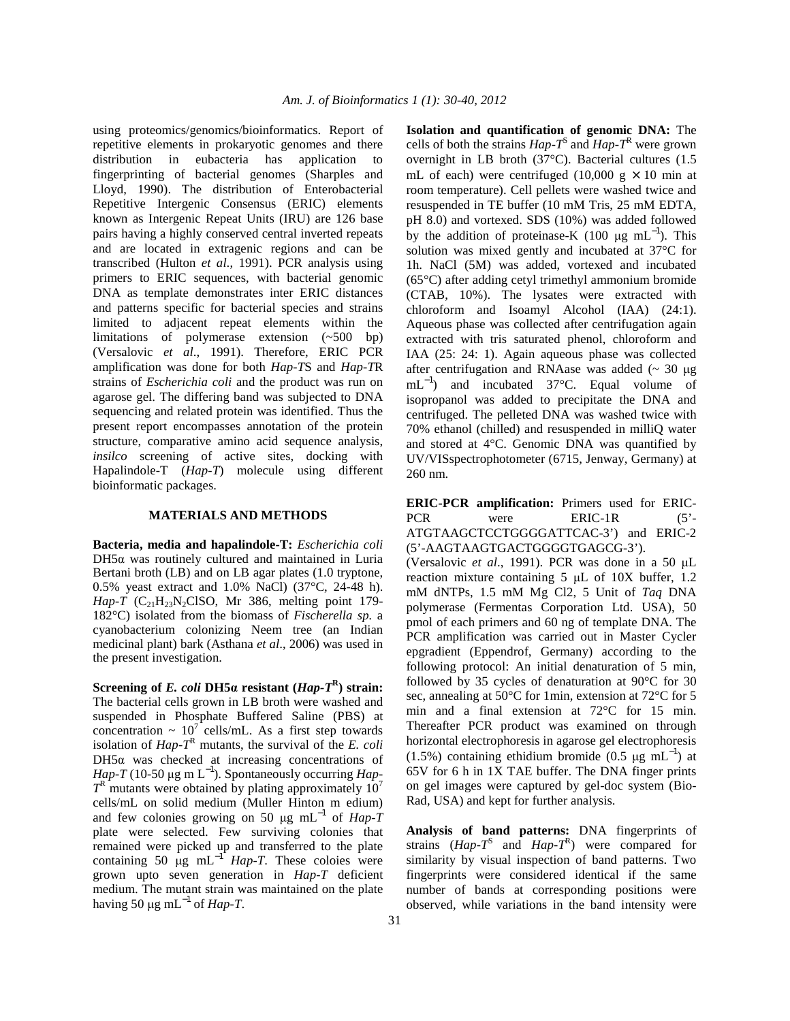using proteomics/genomics/bioinformatics. Report of repetitive elements in prokaryotic genomes and there distribution in eubacteria has application to fingerprinting of bacterial genomes (Sharples and Lloyd, 1990). The distribution of Enterobacterial Repetitive Intergenic Consensus (ERIC) elements known as Intergenic Repeat Units (IRU) are 126 base pairs having a highly conserved central inverted repeats and are located in extragenic regions and can be transcribed (Hulton *et al*., 1991). PCR analysis using primers to ERIC sequences, with bacterial genomic DNA as template demonstrates inter ERIC distances and patterns specific for bacterial species and strains limited to adjacent repeat elements within the limitations of polymerase extension (~500 bp) (Versalovic *et al*., 1991). Therefore, ERIC PCR amplification was done for both *Hap-T*S and *Hap-T*R strains of *Escherichia coli* and the product was run on agarose gel. The differing band was subjected to DNA sequencing and related protein was identified. Thus the present report encompasses annotation of the protein structure, comparative amino acid sequence analysis, *insilco* screening of active sites, docking with Hapalindole-T (*Hap-T*) molecule using different bioinformatic packages.

## **MATERIALS AND METHODS**

**Bacteria, media and hapalindole-T:** *Escherichia coli*  $DH5\alpha$  was routinely cultured and maintained in Luria Bertani broth (LB) and on LB agar plates (1.0 tryptone, 0.5% yeast extract and 1.0% NaCl) (37°C, 24-48 h). *Hap-T* ( $C_{21}H_{23}N_2C$ ISO, Mr 386, melting point 179-182°C) isolated from the biomass of *Fischerella sp.* a cyanobacterium colonizing Neem tree (an Indian medicinal plant) bark (Asthana *et al*., 2006) was used in the present investigation.

**Screening of** *E. coli* **DH5α resistant (***Hap-T***<sup>R</sup> ) strain:**  The bacterial cells grown in LB broth were washed and suspended in Phosphate Buffered Saline (PBS) at concentration  $\sim 10^7$  cells/mL. As a first step towards isolation of  $Hap - T<sup>R</sup>$  mutants, the survival of the *E. coli* DH5α was checked at increasing concentrations of *Hap-T* (10-50 µg m  $L^{-1}$ ). Spontaneously occurring *Hap-* $T^R$  mutants were obtained by plating approximately  $10^7$ cells/mL on solid medium (Muller Hinton m edium) and few colonies growing on 50 µg mL−1 of *Hap-T* plate were selected. Few surviving colonies that remained were picked up and transferred to the plate containing 50  $\mu$ g mL<sup>-1</sup> *Hap-T*. These coloies were grown upto seven generation in *Hap-T* deficient medium. The mutant strain was maintained on the plate having 50 µg mL<sup> $-1$ </sup> of *Hap-T*.

**Isolation and quantification of genomic DNA:** The cells of both the strains  $Hap - T<sup>S</sup>$  and  $Hap - T<sup>R</sup>$  were grown overnight in LB broth (37°C). Bacterial cultures (1.5 mL of each) were centrifuged (10,000 g  $\times$  10 min at room temperature). Cell pellets were washed twice and resuspended in TE buffer (10 mM Tris, 25 mM EDTA, pH 8.0) and vortexed. SDS (10%) was added followed by the addition of proteinase-K (100 µg mL<sup>-1</sup>). This solution was mixed gently and incubated at 37°C for 1h. NaCl (5M) was added, vortexed and incubated (65°C) after adding cetyl trimethyl ammonium bromide (CTAB, 10%). The lysates were extracted with chloroform and Isoamyl Alcohol (IAA) (24:1). Aqueous phase was collected after centrifugation again extracted with tris saturated phenol, chloroform and IAA (25: 24: 1). Again aqueous phase was collected after centrifugation and RNAase was added  $($   $\sim$  30  $\mu$ g mL<sup>-1</sup>) and incubated 37°C. Equal volume of isopropanol was added to precipitate the DNA and centrifuged. The pelleted DNA was washed twice with 70% ethanol (chilled) and resuspended in milliQ water and stored at 4°C. Genomic DNA was quantified by UV/VISspectrophotometer (6715, Jenway, Germany) at 260 nm.

**ERIC-PCR amplification:** Primers used for ERIC-PCR were ERIC-1R (5'-ATGTAAGCTCCTGGGGATTCAC-3') and ERIC-2 (5'-AAGTAAGTGACTGGGGTGAGCG-3'). (Versalovic *et al*., 1991). PCR was done in a 50 µL reaction mixture containing 5 µL of 10X buffer, 1.2 mM dNTPs, 1.5 mM Mg Cl2, 5 Unit of *Taq* DNA polymerase (Fermentas Corporation Ltd. USA), 50 pmol of each primers and 60 ng of template DNA. The PCR amplification was carried out in Master Cycler epgradient (Eppendrof, Germany) according to the following protocol: An initial denaturation of 5 min, followed by 35 cycles of denaturation at 90°C for 30 sec, annealing at 50°C for 1min, extension at 72°C for 5 min and a final extension at 72°C for 15 min. Thereafter PCR product was examined on through horizontal electrophoresis in agarose gel electrophoresis (1.5%) containing ethidium bromide (0.5 µg mL<sup>-1</sup>) at 65V for 6 h in 1X TAE buffer. The DNA finger prints on gel images were captured by gel-doc system (Bio-Rad, USA) and kept for further analysis.

**Analysis of band patterns:** DNA fingerprints of strains  $(Hap - T^S)$  and  $Hap - T^R$ ) were compared for similarity by visual inspection of band patterns. Two fingerprints were considered identical if the same number of bands at corresponding positions were observed, while variations in the band intensity were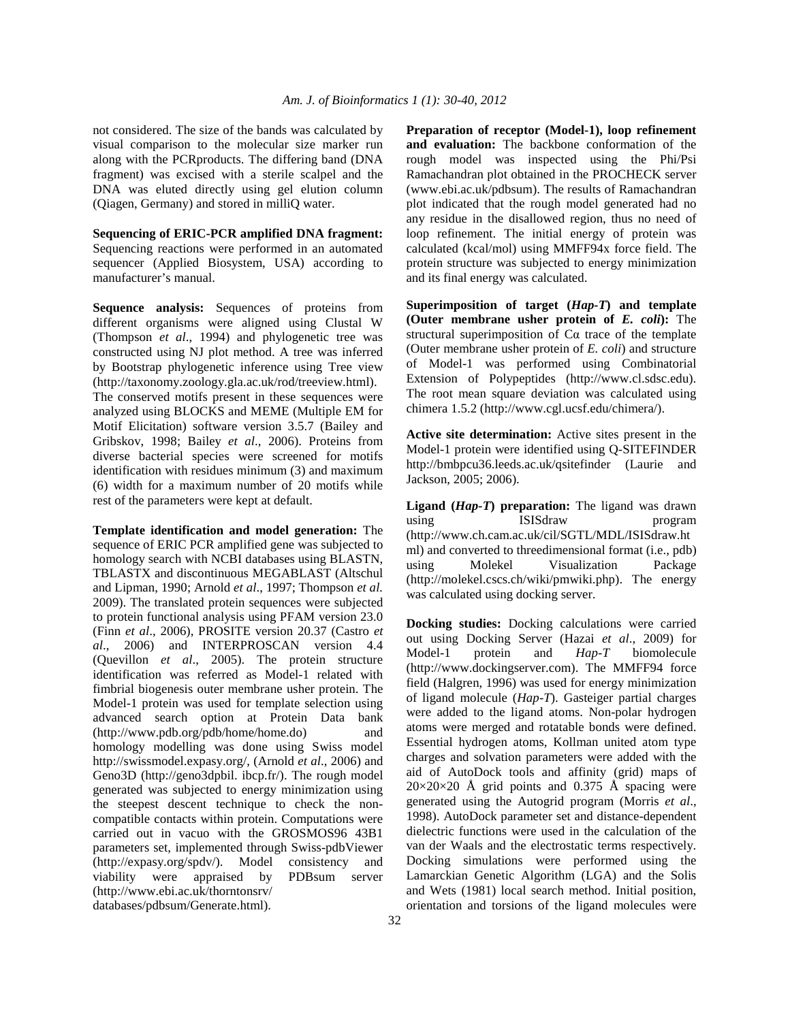not considered. The size of the bands was calculated by visual comparison to the molecular size marker run along with the PCRproducts. The differing band (DNA fragment) was excised with a sterile scalpel and the DNA was eluted directly using gel elution column (Qiagen, Germany) and stored in milliQ water.

**Sequencing of ERIC-PCR amplified DNA fragment:** Sequencing reactions were performed in an automated sequencer (Applied Biosystem, USA) according to manufacturer's manual.

**Sequence analysis:** Sequences of proteins from different organisms were aligned using Clustal W (Thompson *et al*., 1994) and phylogenetic tree was constructed using NJ plot method. A tree was inferred by Bootstrap phylogenetic inference using Tree view (http://taxonomy.zoology.gla.ac.uk/rod/treeview.html).

The conserved motifs present in these sequences were analyzed using BLOCKS and MEME (Multiple EM for Motif Elicitation) software version 3.5.7 (Bailey and Gribskov, 1998; Bailey *et al*., 2006). Proteins from diverse bacterial species were screened for motifs identification with residues minimum (3) and maximum (6) width for a maximum number of 20 motifs while rest of the parameters were kept at default.

**Template identification and model generation:** The sequence of ERIC PCR amplified gene was subjected to homology search with NCBI databases using BLASTN, TBLASTX and discontinuous MEGABLAST (Altschul and Lipman, 1990; Arnold *et al*., 1997; Thompson *et al.* 2009). The translated protein sequences were subjected to protein functional analysis using PFAM version 23.0 (Finn *et al*., 2006), PROSITE version 20.37 (Castro *et al*., 2006) and INTERPROSCAN version 4.4 (Quevillon *et al*., 2005). The protein structure identification was referred as Model-1 related with fimbrial biogenesis outer membrane usher protein. The Model-1 protein was used for template selection using advanced search option at Protein Data bank (http://www.pdb.org/pdb/home/home.do) and homology modelling was done using Swiss model http://swissmodel.expasy.org/, (Arnold *et al*., 2006) and Geno3D (http://geno3dpbil. ibcp.fr/). The rough model generated was subjected to energy minimization using the steepest descent technique to check the noncompatible contacts within protein. Computations were carried out in vacuo with the GROSMOS96 43B1 parameters set, implemented through Swiss-pdbViewer (http://expasy.org/spdv/). Model consistency and viability were appraised by PDBsum server (http://www.ebi.ac.uk/thorntonsrv/ databases/pdbsum/Generate.html).

**Preparation of receptor (Model-1), loop refinement and evaluation:** The backbone conformation of the rough model was inspected using the Phi/Psi Ramachandran plot obtained in the PROCHECK server (www.ebi.ac.uk/pdbsum). The results of Ramachandran plot indicated that the rough model generated had no any residue in the disallowed region, thus no need of loop refinement. The initial energy of protein was calculated (kcal/mol) using MMFF94x force field. The protein structure was subjected to energy minimization and its final energy was calculated.

**Superimposition of target (***Hap-T***) and template (Outer membrane usher protein of** *E. coli***):** The structural superimposition of Cα trace of the template (Outer membrane usher protein of *E. coli*) and structure of Model-1 was performed using Combinatorial Extension of Polypeptides (http://www.cl.sdsc.edu). The root mean square deviation was calculated using chimera 1.5.2 (http://www.cgl.ucsf.edu/chimera/).

**Active site determination:** Active sites present in the Model-1 protein were identified using Q-SITEFINDER http://bmbpcu36.leeds.ac.uk/qsitefinder (Laurie and Jackson, 2005; 2006).

**Ligand (***Hap-T***) preparation:** The ligand was drawn using ISIS draw program (http://www.ch.cam.ac.uk/cil/SGTL/MDL/ISISdraw.ht ml) and converted to threedimensional format (i.e., pdb) using Molekel Visualization Package (http://molekel.cscs.ch/wiki/pmwiki.php). The energy was calculated using docking server.

**Docking studies:** Docking calculations were carried out using Docking Server (Hazai *et al*., 2009) for Model-1 protein and *Hap-T* biomolecule (http://www.dockingserver.com). The MMFF94 force field (Halgren, 1996) was used for energy minimization of ligand molecule (*Hap-T*). Gasteiger partial charges were added to the ligand atoms. Non-polar hydrogen atoms were merged and rotatable bonds were defined. Essential hydrogen atoms, Kollman united atom type charges and solvation parameters were added with the aid of AutoDock tools and affinity (grid) maps of  $20\times20\times20$  Å grid points and 0.375 Å spacing were generated using the Autogrid program (Morris *et al*., 1998). AutoDock parameter set and distance-dependent dielectric functions were used in the calculation of the van der Waals and the electrostatic terms respectively. Docking simulations were performed using the Lamarckian Genetic Algorithm (LGA) and the Solis and Wets (1981) local search method. Initial position, orientation and torsions of the ligand molecules were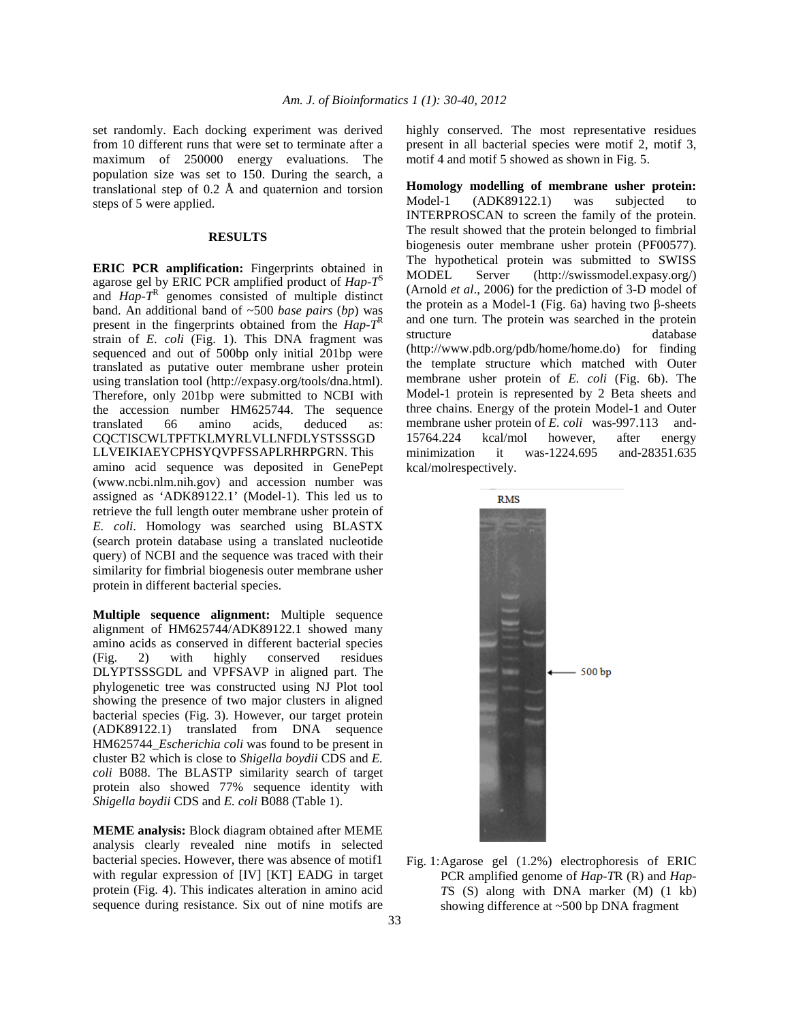set randomly. Each docking experiment was derived from 10 different runs that were set to terminate after a maximum of 250000 energy evaluations. The population size was set to 150. During the search, a translational step of 0.2 Å and quaternion and torsion steps of 5 were applied.

#### **RESULTS**

**ERIC PCR amplification:** Fingerprints obtained in agarose gel by ERIC PCR amplified product of *Hap-T*<sup>S</sup> and *Hap-T*<sup>R</sup> genomes consisted of multiple distinct band. An additional band of ~500 *base pairs* (*bp*) was present in the fingerprints obtained from the  $Hap-$ <sup>R</sup> strain of *E. coli* (Fig. 1). This DNA fragment was sequenced and out of 500bp only initial 201bp were translated as putative outer membrane usher protein using translation tool (http://expasy.org/tools/dna.html). Therefore, only 201bp were submitted to NCBI with the accession number HM625744. The sequence translated 66 amino acids, deduced as: CQCTISCWLTPFTKLMYRLVLLNFDLYSTSSSGD LLVEIKIAEYCPHSYQVPFSSAPLRHRPGRN. This amino acid sequence was deposited in GenePept (www.ncbi.nlm.nih.gov) and accession number was assigned as 'ADK89122.1' (Model-1). This led us to retrieve the full length outer membrane usher protein of *E. coli*. Homology was searched using BLASTX (search protein database using a translated nucleotide query) of NCBI and the sequence was traced with their similarity for fimbrial biogenesis outer membrane usher protein in different bacterial species.

**Multiple sequence alignment:** Multiple sequence alignment of HM625744/ADK89122.1 showed many amino acids as conserved in different bacterial species<br>(Fig. 2) with highly conserved residues  $(Fig. 2)$  with highly conserved DLYPTSSSGDL and VPFSAVP in aligned part. The phylogenetic tree was constructed using NJ Plot tool showing the presence of two major clusters in aligned bacterial species (Fig. 3). However, our target protein (ADK89122.1) translated from DNA sequence HM625744\_*Escherichia coli* was found to be present in cluster B2 which is close to *Shigella boydii* CDS and *E. coli* B088. The BLASTP similarity search of target protein also showed 77% sequence identity with *Shigella boydii* CDS and *E. coli* B088 (Table 1).

**MEME analysis:** Block diagram obtained after MEME analysis clearly revealed nine motifs in selected bacterial species. However, there was absence of motif1 with regular expression of [IV] [KT] EADG in target protein (Fig. 4). This indicates alteration in amino acid sequence during resistance. Six out of nine motifs are

highly conserved. The most representative residues present in all bacterial species were motif 2, motif 3, motif 4 and motif 5 showed as shown in Fig. 5.

**Homology modelling of membrane usher protein:** Model-1 (ADK89122.1) was subjected to INTERPROSCAN to screen the family of the protein. The result showed that the protein belonged to fimbrial biogenesis outer membrane usher protein (PF00577). The hypothetical protein was submitted to SWISS MODEL Server (http://swissmodel.expasy.org/) (Arnold *et al*., 2006) for the prediction of 3-D model of the protein as a Model-1 (Fig. 6a) having two β-sheets and one turn. The protein was searched in the protein structure database (http://www.pdb.org/pdb/home/home.do) for finding the template structure which matched with Outer membrane usher protein of *E. coli* (Fig. 6b). The Model-1 protein is represented by 2 Beta sheets and three chains. Energy of the protein Model-1 and Outer membrane usher protein of *E. coli* was-997.113 and-15764.224 kcal/mol however, after energy minimization it was-1224.695 and-28351.635 kcal/molrespectively.



Fig. 1: Agarose gel (1.2%) electrophoresis of ERIC PCR amplified genome of *Hap-T*R (R) and *Hap-T*S (S) along with DNA marker (M) (1 kb) showing difference at ~500 bp DNA fragment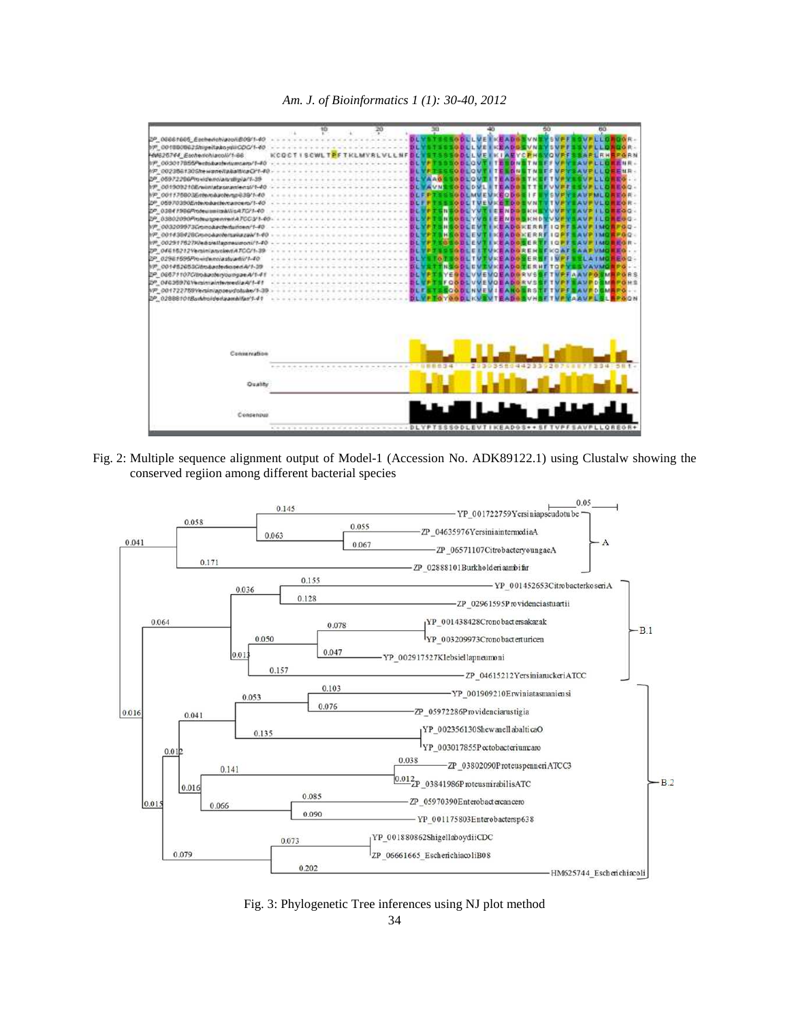



Fig. 2: Multiple sequence alignment output of Model-1 (Accession No. ADK89122.1) using Clustalw showing the conserved regiion among different bacterial species



Fig. 3: Phylogenetic Tree inferences using NJ plot method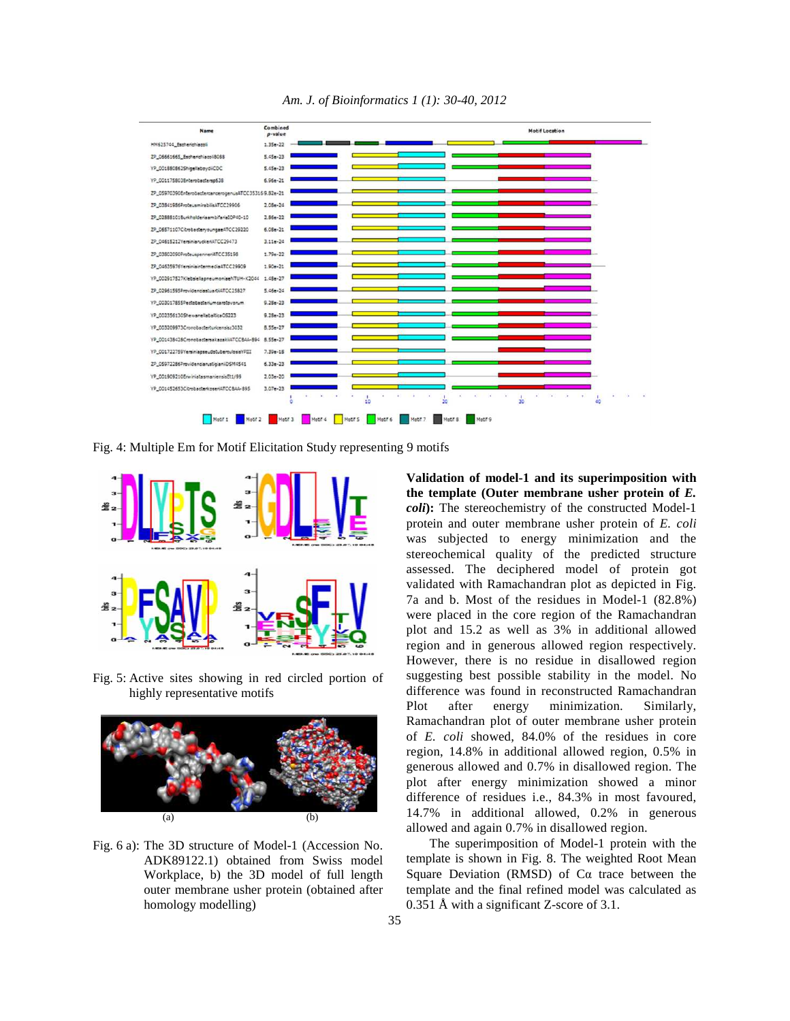

*Am. J. of Bioinformatics 1 (1): 30-40, 2012* 

Fig. 4: Multiple Em for Motif Elicitation Study representing 9 motifs



Fig. 5: Active sites showing in red circled portion of highly representative motifs



Fig. 6 a): The 3D structure of Model-1 (Accession No. ADK89122.1) obtained from Swiss model Workplace, b) the 3D model of full length outer membrane usher protein (obtained after homology modelling)

**Validation of model-1 and its superimposition with the template (Outer membrane usher protein of** *E. coli***):** The stereochemistry of the constructed Model-1 protein and outer membrane usher protein of *E. coli* was subjected to energy minimization and the stereochemical quality of the predicted structure assessed. The deciphered model of protein got validated with Ramachandran plot as depicted in Fig. 7a and b. Most of the residues in Model-1 (82.8%) were placed in the core region of the Ramachandran plot and 15.2 as well as 3% in additional allowed region and in generous allowed region respectively. However, there is no residue in disallowed region suggesting best possible stability in the model. No difference was found in reconstructed Ramachandran Plot after energy minimization. Similarly, Ramachandran plot of outer membrane usher protein of *E. coli* showed, 84.0% of the residues in core region, 14.8% in additional allowed region, 0.5% in generous allowed and 0.7% in disallowed region. The plot after energy minimization showed a minor difference of residues i.e., 84.3% in most favoured, 14.7% in additional allowed, 0.2% in generous allowed and again 0.7% in disallowed region.

 The superimposition of Model-1 protein with the template is shown in Fig. 8. The weighted Root Mean Square Deviation (RMSD) of Cα trace between the template and the final refined model was calculated as 0.351 Å with a significant Z-score of 3.1.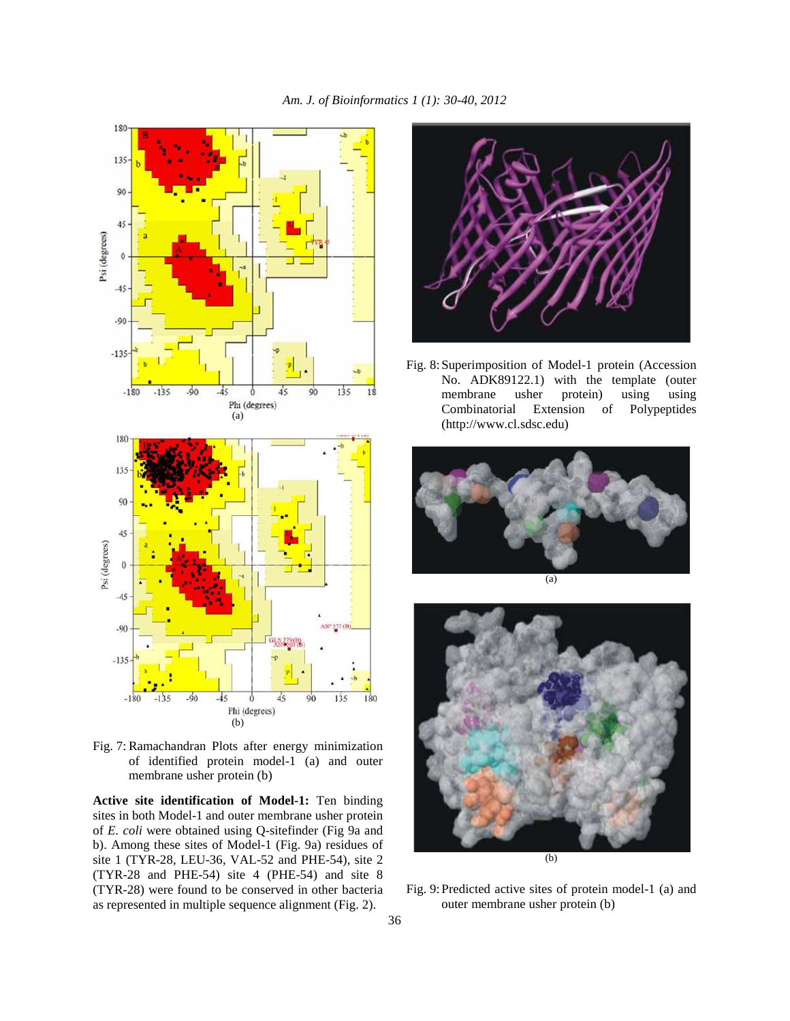

Fig. 7: Ramachandran Plots after energy minimization of identified protein model-1 (a) and outer membrane usher protein (b)

**Active site identification of Model-1:** Ten binding sites in both Model-1 and outer membrane usher protein of *E. coli* were obtained using Q-sitefinder (Fig 9a and b). Among these sites of Model-1 (Fig. 9a) residues of site 1 (TYR-28, LEU-36, VAL-52 and PHE-54), site 2 (TYR-28 and PHE-54) site 4 (PHE-54) and site 8 (TYR-28) were found to be conserved in other bacteria as represented in multiple sequence alignment (Fig. 2).



Fig. 8: Superimposition of Model-1 protein (Accession No. ADK89122.1) with the template (outer membrane usher protein) using using Combinatorial Extension of Polypeptides (http://www.cl.sdsc.edu)



(a)



Fig. 9: Predicted active sites of protein model-1 (a) and outer membrane usher protein (b)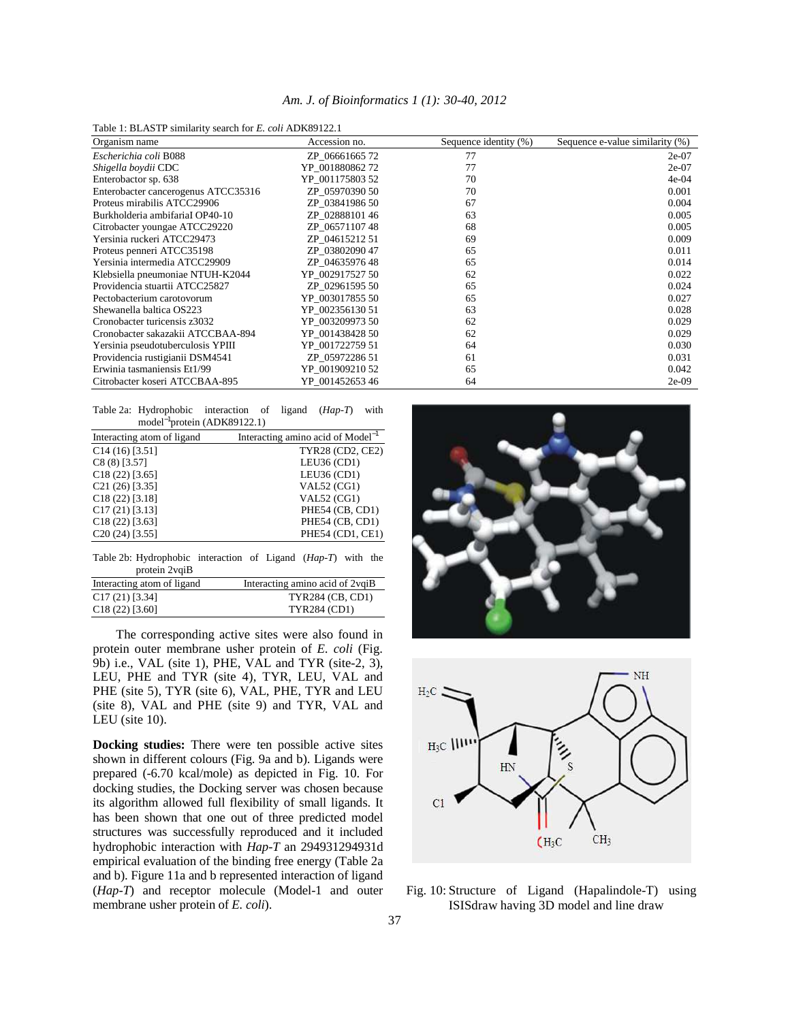|  | Am. J. of Bioinformatics 1 (1): 30-40, 2012 |  |  |
|--|---------------------------------------------|--|--|
|  |                                             |  |  |

Table 1: BLASTP similarity search for *E. coli* ADK89122.1

| Organism name                       | Accession no.   | Sequence identity (%) | Sequence e-value similarity (%) |
|-------------------------------------|-----------------|-----------------------|---------------------------------|
| Escherichia coli B088               | ZP 0666166572   | 77                    | $2e-07$                         |
| Shigella boydii CDC                 | YP 00188086272  | 77                    | $2e-07$                         |
| Enterobactor sp. 638                | YP 001175803 52 | 70                    | $4e-04$                         |
| Enterobacter cancerogenus ATCC35316 | ZP 05970390 50  | 70                    | 0.001                           |
| Proteus mirabilis ATCC29906         | ZP 03841986 50  | 67                    | 0.004                           |
| Burkholderia ambifariaI OP40-10     | ZP 0288810146   | 63                    | 0.005                           |
| Citrobacter youngae ATCC29220       | ZP 0657110748   | 68                    | 0.005                           |
| Yersinia ruckeri ATCC29473          | ZP 0461521251   | 69                    | 0.009                           |
| Proteus penneri ATCC35198           | ZP 03802090 47  | 65                    | 0.011                           |
| Yersinia intermedia ATCC29909       | ZP 0463597648   | 65                    | 0.014                           |
| Klebsiella pneumoniae NTUH-K2044    | YP 002917527 50 | 62                    | 0.022                           |
| Providencia stuartii ATCC25827      | ZP 02961595 50  | 65                    | 0.024                           |
| Pectobacterium carotovorum          | YP 003017855 50 | 65                    | 0.027                           |
| Shewanella baltica OS223            | YP 002356130 51 | 63                    | 0.028                           |
| Cronobacter turicensis z3032        | YP 003209973 50 | 62                    | 0.029                           |
| Cronobacter sakazakii ATCCBAA-894   | YP 001438428 50 | 62                    | 0.029                           |
| Yersinia pseudotuberculosis YPIII   | YP 001722759 51 | 64                    | 0.030                           |
| Providencia rustigianii DSM4541     | ZP 05972286 51  | 61                    | 0.031                           |
| Erwinia tasmaniensis Et1/99         | YP 001909210 52 | 65                    | 0.042                           |
| Citrobacter koseri ATCCBAA-895      | YP 00145265346  | 64                    | $2e-09$                         |

| Table 2a: Hydrophobic interaction of ligand ( <i>Hap-T</i> ) with |  |  |  |  |
|-------------------------------------------------------------------|--|--|--|--|
| model <sup>-1</sup> protein (ADK89122.1)                          |  |  |  |  |

| Interacting atom of ligand | Interacting amino acid of $Model^{-1}$ |
|----------------------------|----------------------------------------|
| $C14(16)$ [3.51]           | TYR28 (CD2, CE2)                       |
| $C8(8)$ [3.57]             | LEU36 (CD1)                            |
| $C18(22)$ [3.65]           | LEU36 (CD1)                            |
| $C21(26)$ [3.35]           | <b>VAL52 (CG1)</b>                     |
| $C18(22)$ [3.18]           | <b>VAL52 (CG1)</b>                     |
| $C17(21)$ [3.13]           | PHE54 (CB, CD1)                        |
| $C18(22)$ [3.63]           | PHE54 (CB, CD1)                        |
| $C20(24)$ [3.55]           | PHE54 (CD1, CE1)                       |

Table 2b: Hydrophobic interaction of Ligand (*Hap-T*) with the protein 2vqiB

| Interacting atom of ligand | Interacting amino acid of 2 vqiB |
|----------------------------|----------------------------------|
| $C17(21)$ [3.34]           | <b>TYR284 (CB, CD1)</b>          |
| $C18(22)$ [3.60]           | <b>TYR284 (CD1)</b>              |

 The corresponding active sites were also found in protein outer membrane usher protein of *E. coli* (Fig. 9b) i.e., VAL (site 1), PHE, VAL and TYR (site-2, 3), LEU, PHE and TYR (site 4), TYR, LEU, VAL and PHE (site 5), TYR (site 6), VAL, PHE, TYR and LEU (site 8), VAL and PHE (site 9) and TYR, VAL and LEU (site 10).

**Docking studies:** There were ten possible active sites shown in different colours (Fig. 9a and b). Ligands were prepared (-6.70 kcal/mole) as depicted in Fig. 10. For docking studies, the Docking server was chosen because its algorithm allowed full flexibility of small ligands. It has been shown that one out of three predicted model structures was successfully reproduced and it included hydrophobic interaction with *Hap-T* an 294931294931d empirical evaluation of the binding free energy (Table 2a and b). Figure 11a and b represented interaction of ligand (*Hap-T*) and receptor molecule (Model-1 and outer membrane usher protein of *E. coli*).





Fig. 10: Structure of Ligand (Hapalindole-T) using ISISdraw having 3D model and line draw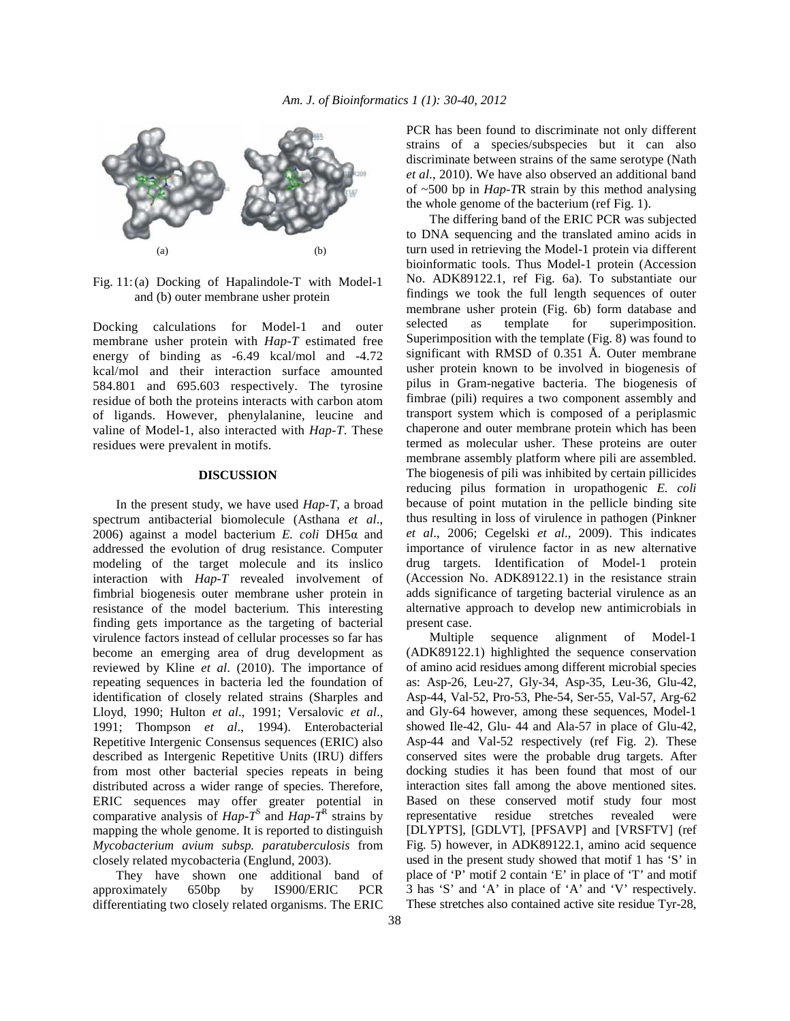

Fig. 11: (a) Docking of Hapalindole-T with Model-1 and (b) outer membrane usher protein

Docking calculations for Model-1 and outer membrane usher protein with *Hap-T* estimated free energy of binding as -6.49 kcal/mol and -4.72 kcal/mol and their interaction surface amounted 584.801 and 695.603 respectively. The tyrosine residue of both the proteins interacts with carbon atom of ligands. However, phenylalanine, leucine and valine of Model-1, also interacted with *Hap-T*. These residues were prevalent in motifs.

## **DISCUSSION**

 In the present study, we have used *Hap-T*, a broad spectrum antibacterial biomolecule (Asthana *et al*., 2006) against a model bacterium *E. coli* DH5α and addressed the evolution of drug resistance. Computer modeling of the target molecule and its inslico interaction with *Hap-T* revealed involvement of fimbrial biogenesis outer membrane usher protein in resistance of the model bacterium. This interesting finding gets importance as the targeting of bacterial virulence factors instead of cellular processes so far has become an emerging area of drug development as reviewed by Kline *et al*. (2010). The importance of repeating sequences in bacteria led the foundation of identification of closely related strains (Sharples and Lloyd, 1990; Hulton *et al*., 1991; Versalovic *et al*., 1991; Thompson *et al*., 1994). Enterobacterial Repetitive Intergenic Consensus sequences (ERIC) also described as Intergenic Repetitive Units (IRU) differs from most other bacterial species repeats in being distributed across a wider range of species. Therefore, ERIC sequences may offer greater potential in comparative analysis of  $Hap - T<sup>S</sup>$  and  $Hap - T<sup>R</sup>$  strains by mapping the whole genome. It is reported to distinguish *Mycobacterium avium subsp. paratuberculosis* from closely related mycobacteria (Englund, 2003).

 They have shown one additional band of approximately 650bp by IS900/ERIC PCR differentiating two closely related organisms. The ERIC

PCR has been found to discriminate not only different strains of a species/subspecies but it can also discriminate between strains of the same serotype (Nath *et al*., 2010). We have also observed an additional band of ~500 bp in *Hap-T*R strain by this method analysing the whole genome of the bacterium (ref Fig. 1).

 The differing band of the ERIC PCR was subjected to DNA sequencing and the translated amino acids in turn used in retrieving the Model-1 protein via different bioinformatic tools. Thus Model-1 protein (Accession No. ADK89122.1, ref Fig. 6a). To substantiate our findings we took the full length sequences of outer membrane usher protein (Fig. 6b) form database and selected as template for superimposition. Superimposition with the template (Fig. 8) was found to significant with RMSD of 0.351 Å. Outer membrane usher protein known to be involved in biogenesis of pilus in Gram-negative bacteria. The biogenesis of fimbrae (pili) requires a two component assembly and transport system which is composed of a periplasmic chaperone and outer membrane protein which has been termed as molecular usher. These proteins are outer membrane assembly platform where pili are assembled. The biogenesis of pili was inhibited by certain pillicides reducing pilus formation in uropathogenic *E. coli* because of point mutation in the pellicle binding site thus resulting in loss of virulence in pathogen (Pinkner *et al*., 2006; Cegelski *et al*., 2009). This indicates importance of virulence factor in as new alternative drug targets. Identification of Model-1 protein (Accession No. ADK89122.1) in the resistance strain adds significance of targeting bacterial virulence as an alternative approach to develop new antimicrobials in present case.

 Multiple sequence alignment of Model-1 (ADK89122.1) highlighted the sequence conservation of amino acid residues among different microbial species as: Asp-26, Leu-27, Gly-34, Asp-35, Leu-36, Glu-42, Asp-44, Val-52, Pro-53, Phe-54, Ser-55, Val-57, Arg-62 and Gly-64 however, among these sequences, Model-1 showed Ile-42, Glu- 44 and Ala-57 in place of Glu-42, Asp-44 and Val-52 respectively (ref Fig. 2). These conserved sites were the probable drug targets. After docking studies it has been found that most of our interaction sites fall among the above mentioned sites. Based on these conserved motif study four most representative residue stretches revealed were [DLYPTS], [GDLVT], [PFSAVP] and [VRSFTV] (ref Fig. 5) however, in ADK89122.1, amino acid sequence used in the present study showed that motif 1 has 'S' in place of 'P' motif 2 contain 'E' in place of 'T' and motif 3 has 'S' and 'A' in place of 'A' and 'V' respectively. These stretches also contained active site residue Tyr-28,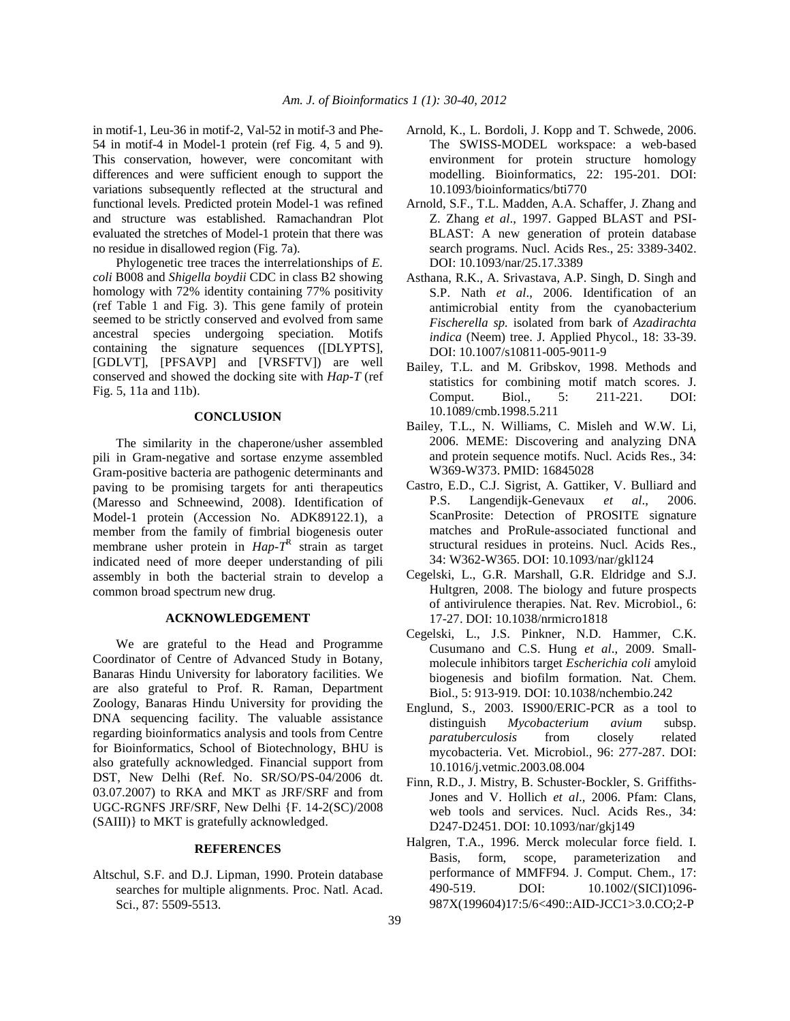in motif-1, Leu-36 in motif-2, Val-52 in motif-3 and Phe-54 in motif-4 in Model-1 protein (ref Fig. 4, 5 and 9). This conservation, however, were concomitant with differences and were sufficient enough to support the variations subsequently reflected at the structural and functional levels. Predicted protein Model-1 was refined and structure was established. Ramachandran Plot evaluated the stretches of Model-1 protein that there was no residue in disallowed region (Fig. 7a).

 Phylogenetic tree traces the interrelationships of *E. coli* B008 and *Shigella boydii* CDC in class B2 showing homology with 72% identity containing 77% positivity (ref Table 1 and Fig. 3). This gene family of protein seemed to be strictly conserved and evolved from same ancestral species undergoing speciation. Motifs containing the signature sequences ([DLYPTS], [GDLVT], [PFSAVP] and [VRSFTV]) are well conserved and showed the docking site with *Hap-T* (ref Fig. 5, 11a and 11b).

## **CONCLUSION**

 The similarity in the chaperone/usher assembled pili in Gram-negative and sortase enzyme assembled Gram-positive bacteria are pathogenic determinants and paving to be promising targets for anti therapeutics (Maresso and Schneewind, 2008). Identification of Model-1 protein (Accession No. ADK89122.1), a member from the family of fimbrial biogenesis outer membrane usher protein in  $Hap-T^R$  strain as target indicated need of more deeper understanding of pili assembly in both the bacterial strain to develop a common broad spectrum new drug.

## **ACKNOWLEDGEMENT**

 We are grateful to the Head and Programme Coordinator of Centre of Advanced Study in Botany, Banaras Hindu University for laboratory facilities. We are also grateful to Prof. R. Raman, Department Zoology, Banaras Hindu University for providing the DNA sequencing facility. The valuable assistance regarding bioinformatics analysis and tools from Centre for Bioinformatics, School of Biotechnology, BHU is also gratefully acknowledged. Financial support from DST, New Delhi (Ref. No. SR/SO/PS-04/2006 dt. 03.07.2007) to RKA and MKT as JRF/SRF and from UGC-RGNFS JRF/SRF, New Delhi {F. 14-2(SC)/2008 (SAIII)} to MKT is gratefully acknowledged.

#### **REFERENCES**

Altschul, S.F. and D.J. Lipman, 1990. Protein database searches for multiple alignments. Proc. Natl. Acad. Sci., 87: 5509-5513.

- Arnold, K., L. Bordoli, J. Kopp and T. Schwede, 2006. The SWISS-MODEL workspace: a web-based environment for protein structure homology modelling. Bioinformatics, 22: 195-201. DOI: 10.1093/bioinformatics/bti770
- Arnold, S.F., T.L. Madden, A.A. Schaffer, J. Zhang and Z. Zhang *et al*., 1997. Gapped BLAST and PSI-BLAST: A new generation of protein database search programs. Nucl. Acids Res., 25: 3389-3402. DOI: 10.1093/nar/25.17.3389
- Asthana, R.K., A. Srivastava, A.P. Singh, D. Singh and S.P. Nath *et al*., 2006. Identification of an antimicrobial entity from the cyanobacterium *Fischerella sp.* isolated from bark of *Azadirachta indica* (Neem) tree. J. Applied Phycol., 18: 33-39. DOI: 10.1007/s10811-005-9011-9
- Bailey, T.L. and M. Gribskov, 1998. Methods and statistics for combining motif match scores. J. Comput. Biol., 5: 211-221. DOI: 10.1089/cmb.1998.5.211
- Bailey, T.L., N. Williams, C. Misleh and W.W. Li, 2006. MEME: Discovering and analyzing DNA and protein sequence motifs. Nucl. Acids Res., 34: W369-W373. PMID: 16845028
- Castro, E.D., C.J. Sigrist, A. Gattiker, V. Bulliard and P.S. Langendijk-Genevaux *et al*., 2006. ScanProsite: Detection of PROSITE signature matches and ProRule-associated functional and structural residues in proteins. Nucl. Acids Res., 34: W362-W365. DOI: 10.1093/nar/gkl124
- Cegelski, L., G.R. Marshall, G.R. Eldridge and S.J. Hultgren, 2008. The biology and future prospects of antivirulence therapies. Nat. Rev. Microbiol., 6: 17-27. DOI: 10.1038/nrmicro1818
- Cegelski, L., J.S. Pinkner, N.D. Hammer, C.K. Cusumano and C.S. Hung *et al*., 2009. Smallmolecule inhibitors target *Escherichia coli* amyloid biogenesis and biofilm formation. Nat. Chem. Biol., 5: 913-919. DOI: 10.1038/nchembio.242
- Englund, S., 2003. IS900/ERIC-PCR as a tool to distinguish *Mycobacterium avium* subsp. *paratuberculosis* from closely related mycobacteria. Vet. Microbiol., 96: 277-287. DOI: 10.1016/j.vetmic.2003.08.004
- Finn, R.D., J. Mistry, B. Schuster-Bockler, S. Griffiths-Jones and V. Hollich *et al*., 2006. Pfam: Clans, web tools and services. Nucl. Acids Res., 34: D247-D2451. DOI: 10.1093/nar/gkj149
- Halgren, T.A., 1996. Merck molecular force field. I. Basis, form, scope, parameterization and performance of MMFF94. J. Comput. Chem., 17: 490-519. DOI: 10.1002/(SICI)1096- 987X(199604)17:5/6<490::AID-JCC1>3.0.CO;2-P